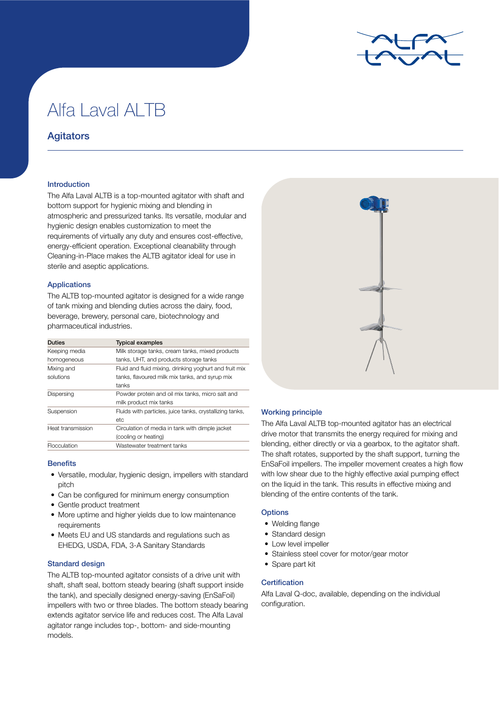

# Alfa Laval ALTB

## **Agitators**

## Introduction

The Alfa Laval ALTB is a top-mounted agitator with shaft and bottom support for hygienic mixing and blending in atmospheric and pressurized tanks. Its versatile, modular and hygienic design enables customization to meet the requirements of virtually any duty and ensures cost-effective, energy-efficient operation. Exceptional cleanability through Cleaning-in-Place makes the ALTB agitator ideal for use in sterile and aseptic applications.

## Applications

The ALTB top-mounted agitator is designed for a wide range of tank mixing and blending duties across the dairy, food, beverage, brewery, personal care, biotechnology and pharmaceutical industries.

| Duties            | <b>Typical examples</b>                                  |
|-------------------|----------------------------------------------------------|
| Keeping media     | Milk storage tanks, cream tanks, mixed products          |
| homogeneous       | tanks, UHT, and products storage tanks                   |
| Mixing and        | Fluid and fluid mixing, drinking yoghurt and fruit mix   |
| solutions         | tanks, flavoured milk mix tanks, and syrup mix           |
|                   | tanks                                                    |
| Dispersing        | Powder protein and oil mix tanks, micro salt and         |
|                   | milk product mix tanks                                   |
| Suspension        | Fluids with particles, juice tanks, crystallizing tanks, |
|                   | etc                                                      |
| Heat transmission | Circulation of media in tank with dimple jacket          |
|                   | (cooling or heating)                                     |
| Flocculation      | Wastewater treatment tanks                               |

## **Benefits**

- Versatile, modular, hygienic design, impellers with standard pitch
- Can be configured for minimum energy consumption
- Gentle product treatment
- More uptime and higher yields due to low maintenance requirements
- Meets EU and US standards and regulations such as EHEDG, USDA, FDA, 3-A Sanitary Standards

## Standard design

The ALTB top-mounted agitator consists of a drive unit with shaft, shaft seal, bottom steady bearing (shaft support inside the tank), and specially designed energy-saving (EnSaFoil) impellers with two or three blades. The bottom steady bearing extends agitator service life and reduces cost. The Alfa Laval agitator range includes top-, bottom- and side-mounting models.



## Working principle

The Alfa Laval ALTB top-mounted agitator has an electrical drive motor that transmits the energy required for mixing and blending, either directly or via a gearbox, to the agitator shaft. The shaft rotates, supported by the shaft support, turning the EnSaFoil impellers. The impeller movement creates a high flow with low shear due to the highly effective axial pumping effect on the liquid in the tank. This results in effective mixing and blending of the entire contents of the tank.

## **Options**

- Welding flange
- Standard design
- Low level impeller
- Stainless steel cover for motor/gear motor
- Spare part kit

## **Certification**

Alfa Laval Q-doc, available, depending on the individual configuration.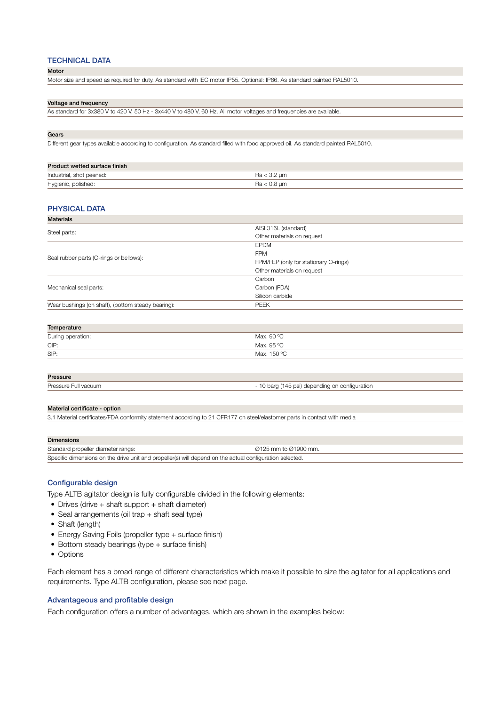### TECHNICAL DATA

#### Motor

Motor size and speed as required for duty. As standard with IEC motor IP55. Optional: IP66. As standard painted RAL5010.

#### Voltage and frequency

As standard for 3x380 V to 420 V, 50 Hz - 3x440 V to 480 V, 60 Hz. All motor voltages and frequencies are available.

#### Gears

Different gear types available according to configuration. As standard filled with food approved oil. As standard painted RAL5010.

#### Product wetted surface finish

| Indu.<br>neened:<br>` ıstrıal<br>cho1<br>.     | ≤3.2 um<br>$\Box a \leq 0.2$ |
|------------------------------------------------|------------------------------|
| Hygienic<br>polished:<br>∴ ry⊌i∪r…<br>-------- | ฯ um                         |

## PHYSICAL DATA

| <b>Materials</b>                                   |                                       |  |
|----------------------------------------------------|---------------------------------------|--|
| Steel parts:                                       | AISI 316L (standard)                  |  |
|                                                    | Other materials on request            |  |
| Seal rubber parts (O-rings or bellows):            | <b>EPDM</b>                           |  |
|                                                    | <b>FPM</b>                            |  |
|                                                    | FPM/FEP (only for stationary O-rings) |  |
|                                                    | Other materials on request            |  |
| Mechanical seal parts:                             | Carbon                                |  |
|                                                    | Carbon (FDA)                          |  |
|                                                    | Silicon carbide                       |  |
| Wear bushings (on shaft), (bottom steady bearing): | <b>PEEK</b>                           |  |

## **Temperature**

| During operation: | Max. 90 °C  |  |
|-------------------|-------------|--|
| CIP:              | Max. 95 °C  |  |
| SIP:              | Max. 150 °C |  |

#### Pressure

Pressure Full vacuum and the state of the state of the state of the 10 barg (145 psi) depending on configuration

## Material certificate - option

3.1 Material certificates/FDA conformity statement according to 21 CFR177 on steel/elastomer parts in contact with media

| <b>Dimensions</b>                                                                                        |                      |  |
|----------------------------------------------------------------------------------------------------------|----------------------|--|
| Standard propeller diameter range:                                                                       | 0125 mm to 01900 mm. |  |
| Specific dimensions on the drive unit and propeller(s) will depend on the actual configuration selected. |                      |  |

## Configurable design

Type ALTB agitator design is fully configurable divided in the following elements:

- Drives (drive  $+$  shaft support  $+$  shaft diameter)
- Seal arrangements (oil trap + shaft seal type)
- Shaft (length)
- Energy Saving Foils (propeller type + surface finish)
- Bottom steady bearings (type + surface finish)
- Options

Each element has a broad range of different characteristics which make it possible to size the agitator for all applications and requirements. Type ALTB configuration, please see next page.

## Advantageous and profitable design

Each configuration offers a number of advantages, which are shown in the examples below: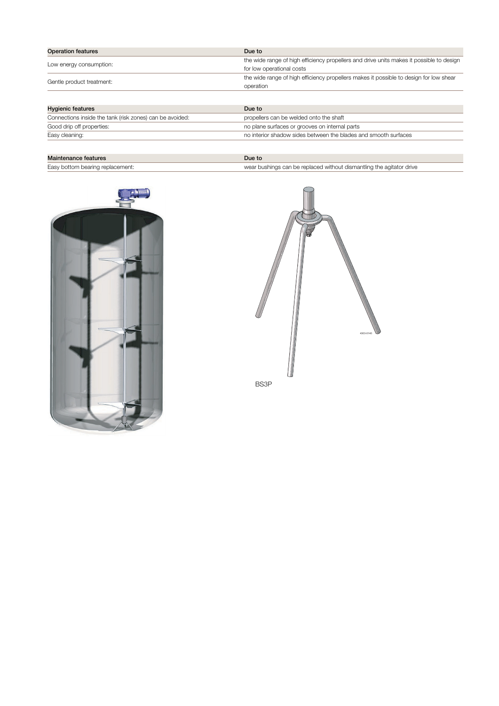| <b>Operation features</b> | Due to                                                                                   |
|---------------------------|------------------------------------------------------------------------------------------|
|                           | the wide range of high efficiency propellers and drive units makes it possible to design |
| Low energy consumption:   | for low operational costs                                                                |
|                           | the wide range of high efficiency propellers makes it possible to design for low shear   |
| Gentle product treatment: | operation                                                                                |
|                           |                                                                                          |

| Hygienic features                                        | Due to                                                          |
|----------------------------------------------------------|-----------------------------------------------------------------|
| Connections inside the tank (risk zones) can be avoided: | propellers can be welded onto the shaft                         |
| Good drip off properties:                                | no plane surfaces or grooves on internal parts                  |
| Easy cleaning:                                           | no interior shadow sides between the blades and smooth surfaces |

## Maintenance features **Due to a state of the state of the state of the state of the state of the state of the state of the state of the state of the state of the state of the state of the state of the state of the state of**

Easy bottom bearing replacement: wear bushings can be replaced without dismantling the agitator drive



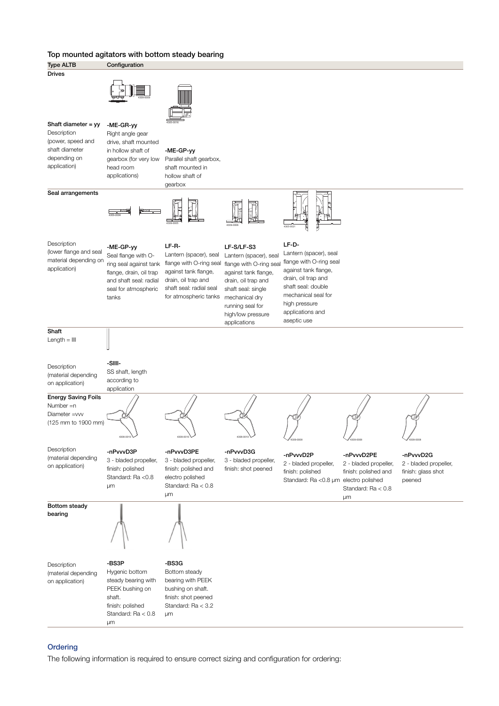## Top mounted agitators with bottom steady bearing

Type ALTB Configuration

Drives



#### Shaft diameter = yy Description (power, speed and shaft diameter depending on application) -ME-GR-yy Right angle gear drive, shaft mounted in hollow shaft of gearbox (for very low head room applications) 4305-0016 -ME-GP-yy Parallel shaft gearbox, shaft mounted in hollow shaft of gearbox Seal arrangements Description (lower flange and seal material depending on application) 4309-0004 -ME-GP-yy Seal flange with Oring seal against tank flange with O-ring seal flange with O-ring seal flange with O-ring seal flange, drain, oil trap and shaft seal: radial seal for atmospheric tanks 4309-0005 LF-R-Lantern (spacer), seal against tank flange, drain, oil trap and shaft seal: radial seal for atmospheric tanks mechanical dry 4309-0006 LF-S/LF-S3 Lantern (spacer), seal against tank flange, drain, oil trap and shaft seal: single running seal for high/low pressure applications 4305-0021 LF-D-Lantern (spacer), seal against tank flange, drain, oil trap and shaft seal: double mechanical seal for high pressure applications and aseptic use Shaft  $L$ ength  $=$   $III$ Description (material depending on application) -Sllll-SS shaft, length according to application Energy Saving Foils Number =n Diameter =vvv (125 mm to 1900 mm) Description (material depending on application) 4308-0010 -nPvvvD3P 3 - bladed propeller, finish: polished Standard: Ra <0.8 μm 4308-0010 -nPvvvD3PE 3 - bladed propeller, finish: polished and electro polished Standard: Ra < 0.8 μm 4308-0010 -nPvvvD3G 3 - bladed propeller, finish: shot peened 4309-0008 -nPvvvD2P 2 - bladed propeller, finish: polished Standard: Ra <0.8 μm electro polished 4309-0008 -nPvvvD2PE 2 - bladed propeller, finish: polished and Standard: Ra < 0.8 μm 4309-0008 -nPvvvD2G 2 - bladed propeller, finish: glass shot peened Bottom steady bearing Description (material depending on application) -BS3P Hygenic bottom steady bearing with PEEK bushing on shaft. finish: polished Standard: Ra < 0.8 -BS3G Bottom steady bearing with PEEK bushing on shaft. finish: shot peened Standard: Ra < 3.2 μm

## **Ordering**

μm

The following information is required to ensure correct sizing and configuration for ordering: